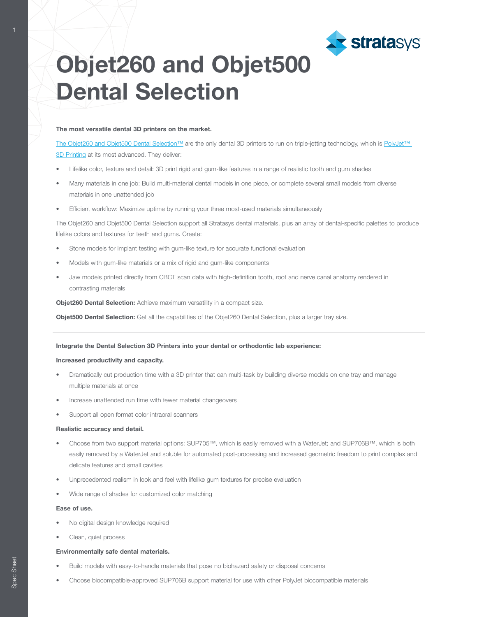

# Objet260 and Objet500 Dental Selection

### The most versatile dental 3D printers on the market.

[The Objet260 and Objet500 Dental Selection™](http://www.stratasys.com/3d-printers/objet-260-500-dental-selection?utm_source=spec-sheet&utm_medium=pdf&utm_content=objet260-500-dental-spec-sheet-link-1-objet260-500) are the only dental 3D printers to run on triple-jetting technology, which is [PolyJet™](http://www.stratasys.com/polyjet-technology?utm_source=spec-sheet&utm_medium=pdf&utm_content=objet260-500-dental-spec-sheet-link-2-polyjet)  [3D Printing](http://www.stratasys.com/polyjet-technology?utm_source=spec-sheet&utm_medium=pdf&utm_content=objet260-500-dental-spec-sheet-link-2-polyjet) at its most advanced. They deliver:

- Lifelike color, texture and detail: 3D print rigid and gum-like features in a range of realistic tooth and gum shades
- Many materials in one job: Build multi-material dental models in one piece, or complete several small models from diverse materials in one unattended job
- Efficient workflow: Maximize uptime by running your three most-used materials simultaneously

The Objet260 and Objet500 Dental Selection support all Stratasys dental materials, plus an array of dental-specific palettes to produce lifelike colors and textures for teeth and gums. Create:

- Stone models for implant testing with gum-like texture for accurate functional evaluation
- Models with gum-like materials or a mix of rigid and gum-like components
- Jaw models printed directly from CBCT scan data with high-definition tooth, root and nerve canal anatomy rendered in contrasting materials

Objet260 Dental Selection: Achieve maximum versatility in a compact size.

Objet500 Dental Selection: Get all the capabilities of the Objet260 Dental Selection, plus a larger tray size.

## Integrate the Dental Selection 3D Printers into your dental or orthodontic lab experience:

#### Increased productivity and capacity.

- Dramatically cut production time with a 3D printer that can multi-task by building diverse models on one tray and manage multiple materials at once
- Increase unattended run time with fewer material changeovers
- Support all open format color intraoral scanners

#### Realistic accuracy and detail.

- Choose from two support material options: SUP705™, which is easily removed with a WaterJet; and SUP706B™, which is both easily removed by a WaterJet and soluble for automated post-processing and increased geometric freedom to print complex and delicate features and small cavities
- Unprecedented realism in look and feel with lifelike gum textures for precise evaluation
- Wide range of shades for customized color matching

#### Ease of use.

- No digital design knowledge required
- Clean, quiet process

## Environmentally safe dental materials.

- Build models with easy-to-handle materials that pose no biohazard safety or disposal concerns
- Choose biocompatible-approved SUP706B support material for use with other PolyJet biocompatible materials